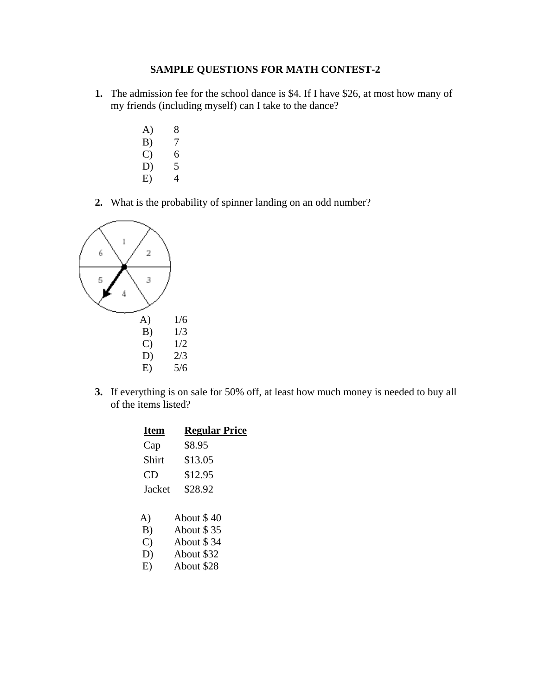## **SAMPLE QUESTIONS FOR MATH CONTEST-2**

- **1.** The admission fee for the school dance is \$4. If I have \$26, at most how many of my friends (including myself) can I take to the dance?
	- A) 8 B) 7
	- C)  $6$ <br>D) 5  $D)$ 
		-
	- $E$ ) 4
- **2.** What is the probability of spinner landing on an odd number?



**3.** If everything is on sale for 50% off, at least how much money is needed to buy all of the items listed?

| <b>Item</b>   | <b>Regular Price</b> |
|---------------|----------------------|
| Cap           | \$8.95               |
| Shirt         | \$13.05              |
| CD            | \$12.95              |
| Jacket        | \$28.92              |
|               |                      |
| A)            | About \$40           |
| B)            | About \$35           |
| $\mathcal{C}$ | About \$34           |
| D)            | About \$32           |
| E)            | About \$28           |
|               |                      |